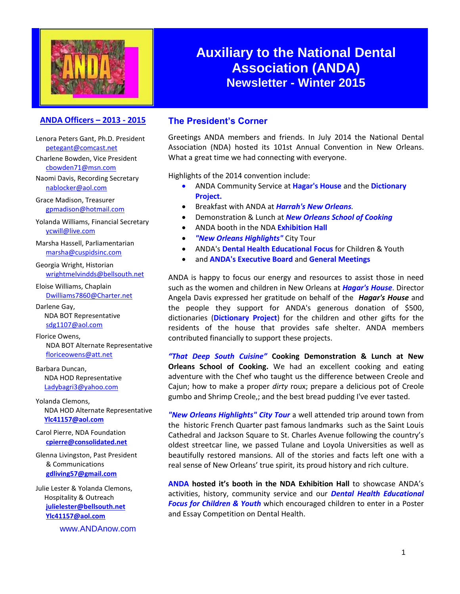

## **Auxiliary to the National Dental Association (ANDA) Newsletter - Winter 2015**

### **ANDA Officers – 2013 - 2015 The President's Corner**

Lenora Peters Gant, Ph.D. President [petegant@comcast.net](mailto:petegant@comcast.net)

Charlene Bowden, Vice President [cbowden71@msn.com](javascript:;)

Naomi Davis, Recording Secretary [nablocker@aol.com](mailto:nablocker@aol.com)

Grace Madison, Treasurer [gpmadison@hotmail.com](mailto:gpmadison@hotmail.com)

Yolanda Williams, Financial Secretary [ycwill@live.com](file:///C:/Users/Livingston/Documents/Glenna/ANDA/2014/ycwill@live.com)

Marsha Hassell, Parliamentarian [marsha@cuspidsinc.com](javascript:;)

Georgia Wright, Historian [wrightmelvindds@bellsouth.net](mailto:wrightmelvindds@bellsouth.net)

Eloise Williams, Chaplain [Dwilliams7860@Charter.net](mailto:Dwilliams7860@Charter.net)

Darlene Gay, NDA BOT Representative [sdg1107@aol.com](mailto:sdg1107@aol.com)

Florice Owens, NDA BOT Alternate Representative [floriceowens@att.net](mailto:floriceowens@att.net)

Barbara Duncan, NDA HOD Representative [Ladybagri3@yahoo.com](mailto:Ladybagri3@yahoo.com)

Yolanda Clemons, NDA HOD Alternate Representative **[Ylc41157@aol.com](mailto:Ylc41157@aol.com)**

Carol Pierre, NDA Foundation **[cpierre@consolidated.net](mailto:cpierre@consolidated.net)**

Glenna Livingston, Past President & Communications **[gdliving57@gmail.com](mailto:glwriter@sbcglobal.net)**

Julie Lester & Yolanda Clemons, Hospitality & Outreach **[julielester@bellsouth.net](mailto:julielester@bellsouth.net) [Ylc41157@aol.com](mailto:Ylc41157@aol.com)**

www.ANDAnow.com

Greetings ANDA members and friends. In July 2014 the National Dental Association (NDA) hosted its 101st Annual Convention in New Orleans. What a great time we had connecting with everyone.

Highlights of the 2014 convention include:

- ANDA Community Service at **Hagar's House** and the **Dictionary Project.**
- Breakfast with ANDA at *Harrah's New Orleans.*
- Demonstration & Lunch at *New Orleans School of Cooking*
- ANDA booth in the NDA **Exhibition Hall**
- *"New Orleans Highlights"* City Tour
- ANDA's **Dental Health Educational Focus** for Children & Youth
- and **ANDA's Executive Board** and **General Meetings**

ANDA is happy to focus our energy and resources to assist those in need such as the women and children in New Orleans at *Hagar's House*. Director Angela Davis expressed her gratitude on behalf of the *Hagar's House* and the people they support for ANDA's generous donation of \$500, dictionaries (**Dictionary Project**) for the children and other gifts for the residents of the house that provides safe shelter. ANDA members contributed financially to support these projects.

*"That Deep South Cuisine"* **Cooking Demonstration & Lunch at New Orleans School of Cooking.** We had an excellent cooking and eating adventure with the Chef who taught us the difference between Creole and Cajun; how to make a proper *dirty* roux; prepare a delicious pot of Creole gumbo and Shrimp Creole,; and the best bread pudding I've ever tasted.

*"New Orleans Highlights" City Tour* a well attended trip around town from the historic French Quarter past famous landmarks such as the Saint Louis Cathedral and Jackson Square to St. Charles Avenue following the country's oldest streetcar line, we passed Tulane and Loyola Universities as well as beautifully restored mansions. All of the stories and facts left one with a real sense of New Orleans' true spirit, its proud history and rich culture.

**ANDA hosted it's booth in the NDA Exhibition Hall** to showcase ANDA's activities, history, community service and our *Dental Health Educational Focus for Children & Youth* which encouraged children to enter in a Poster and Essay Competition on Dental Health.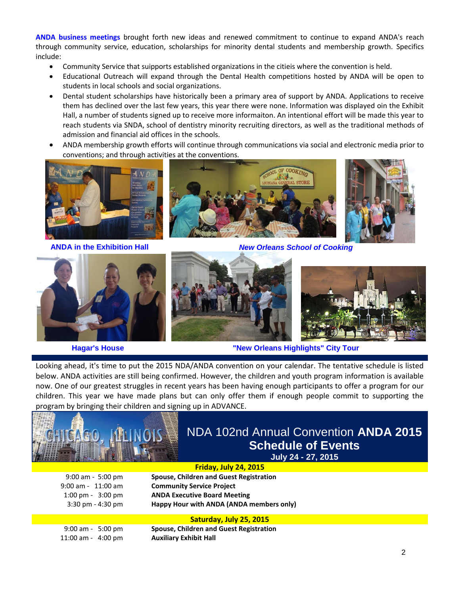**ANDA business meetings** brought forth new ideas and renewed commitment to continue to expand ANDA's reach through community service, education, scholarships for minority dental students and membership growth. Specifics include:

- Community Service that suipports established organizations in the citieis where the convention is held.
- Educational Outreach will expand through the Dental Health competitions hosted by ANDA will be open to students in local schools and social organizations.
- Dental student scholarships have historically been a primary area of support by ANDA. Applications to receive them has declined over the last few years, this year there were none. Information was displayed oin the Exhibit Hall, a number of students signed up to receive more informaiton. An intentional effort will be made this year to reach students via SNDA, school of dentistry minority recruiting directors, as well as the traditional methods of admission and financial aid offices in the schools.
- ANDA membership growth efforts will continue through communications via social and electronic media prior to conventions; and through activities at the conventions.











**Hagar's House "New Orleans Highlights" City Tour**

Looking ahead, it's time to put the 2015 NDA/ANDA convention on your calendar. The tentative schedule is listed below. ANDA activities are still being confirmed. However, the children and youth program information is available now. One of our greatest struggles in recent years has been having enough participants to offer a program for our children. This year we have made plans but can only offer them if enough people commit to supporting the program by bringing their children and signing up in ADVANCE.



## NDA 102nd Annual Convention **ANDA 2015 Schedule of Events July 24 - 27, 2015**

**Friday, July 24, 2015** 9:00 am - 5:00 pm **Spouse, Children and Guest Registration** 9:00 am - 11:00 am **Community Service Project** 1:00 pm - 3:00 pm **ANDA Executive Board Meeting** 3:30 pm - 4:30 pm **Happy Hour with ANDA (ANDA members only)**

#### **Saturday, July 25, 2015**

9:00 am - 5:00 pm **Spouse, Children and Guest Registration** 11:00 am - 4:00 pm **Auxiliary Exhibit Hall**